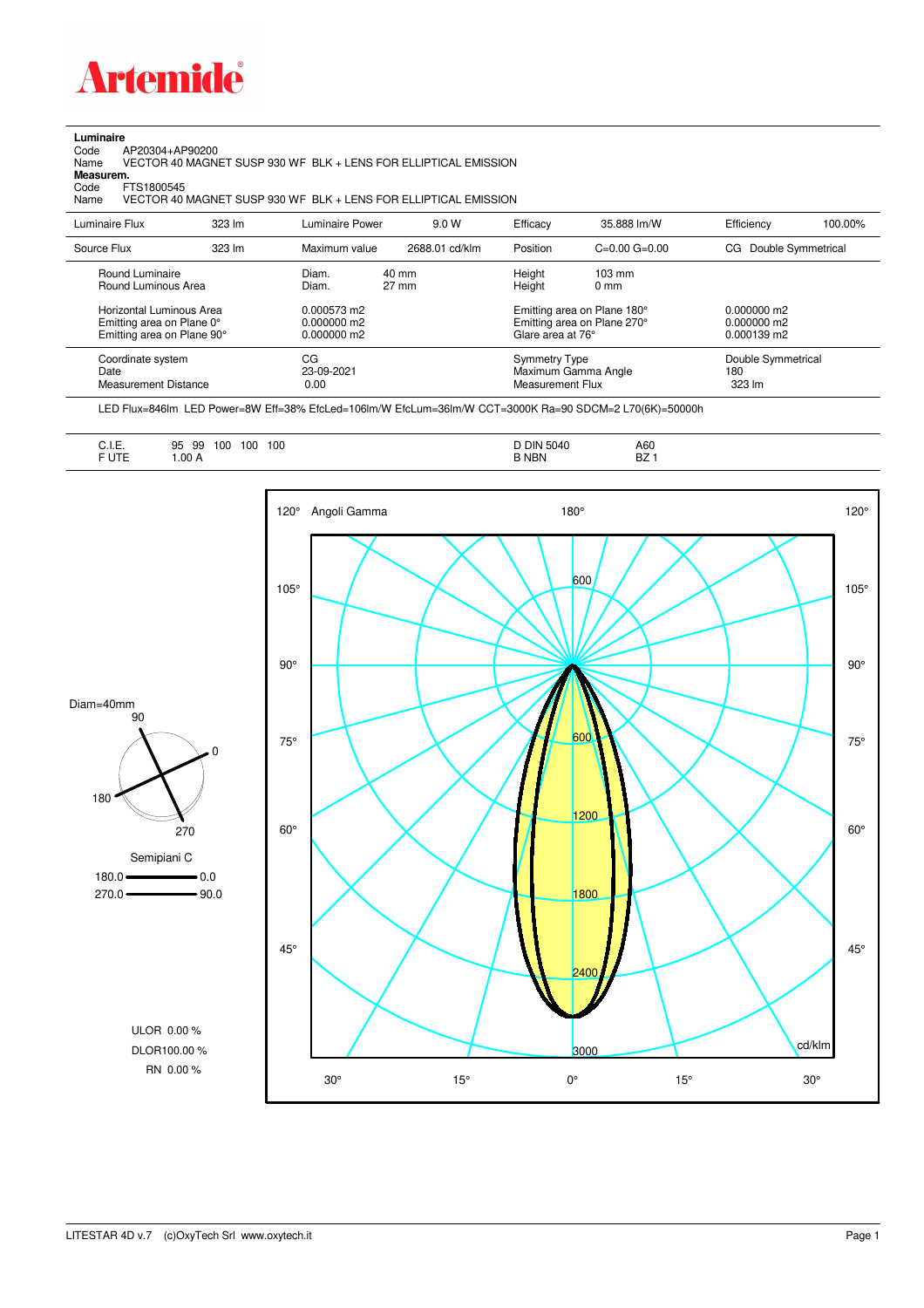

**Luminaire**<br>Code /<br>Name Code AP20304+AP90200 Name VECTOR 40 MAGNET SUSP 930 WF BLK + LENS FOR ELLIPTICAL EMISSION

**Measurem.**

Code FTS1800545<br>Name VECTOR 40 VECTOR 40 MAGNET SUSP 930 WF BLK + LENS FOR ELLIPTICAL EMISSION

| Luminaire Flux                                                                                  | 323 lm | Luminaire Power                                | 9.0 W                              | Efficacy                          | 35.888 lm/W                                                                                      | Efficiency                          | 100.00% |
|-------------------------------------------------------------------------------------------------|--------|------------------------------------------------|------------------------------------|-----------------------------------|--------------------------------------------------------------------------------------------------|-------------------------------------|---------|
| Source Flux                                                                                     | 323 lm | Maximum value                                  | 2688.01 cd/klm                     | Position                          | $C=0.00$ $G=0.00$                                                                                | Double Symmetrical<br>CG.           |         |
| Round Luminaire<br>Round Luminous Area<br>Horizontal Luminous Area<br>Emitting area on Plane 0° |        | Diam.<br>Diam.<br>0.000573 m2<br>$0.000000$ m2 | $40 \text{ mm}$<br>$27 \text{ mm}$ | Height<br>Height                  | $103 \text{ mm}$<br>$0 \text{ mm}$<br>Emitting area on Plane 180°<br>Emitting area on Plane 270° | $0.000000$ m2<br>0.000000 m2        |         |
| Emitting area on Plane 90°                                                                      |        | $0.000000$ m2                                  |                                    | Glare area at 76°                 |                                                                                                  | $0.000139 \text{ m}$                |         |
| Coordinate system<br>Date<br>Measurement Distance                                               |        | CG<br>23-09-2021<br>0.00                       |                                    | Symmetry Type<br>Measurement Flux | Maximum Gamma Angle                                                                              | Double Symmetrical<br>180<br>323 lm |         |

LED Flux=846lm LED Power=8W Eff=38% EfcLed=106lm/W EfcLum=36lm/W CCT=3000K Ra=90 SDCM=2 L70(6K)=50000h

| <b>DIN</b><br>100<br>5040<br>A60<br>100<br>QF<br>100<br>99<br>∪. I. ⊏.<br>ັບ<br>$\sim$ $\sim$<br>__<br>----<br><b>BZ</b><br><b>B NBN</b><br>.00A<br>$\blacksquare$<br>◡<br>______ |
|-----------------------------------------------------------------------------------------------------------------------------------------------------------------------------------|
|-----------------------------------------------------------------------------------------------------------------------------------------------------------------------------------|